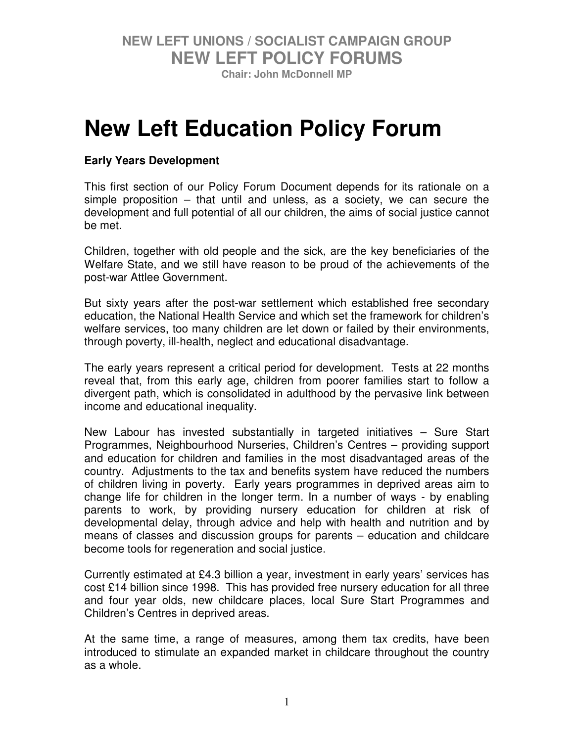**Chair: John McDonnell MP** 

# **New Left Education Policy Forum**

#### **Early Years Development**

This first section of our Policy Forum Document depends for its rationale on a simple proposition – that until and unless, as a society, we can secure the development and full potential of all our children, the aims of social justice cannot be met.

Children, together with old people and the sick, are the key beneficiaries of the Welfare State, and we still have reason to be proud of the achievements of the post-war Attlee Government.

But sixty years after the post-war settlement which established free secondary education, the National Health Service and which set the framework for children's welfare services, too many children are let down or failed by their environments, through poverty, ill-health, neglect and educational disadvantage.

The early years represent a critical period for development. Tests at 22 months reveal that, from this early age, children from poorer families start to follow a divergent path, which is consolidated in adulthood by the pervasive link between income and educational inequality.

New Labour has invested substantially in targeted initiatives – Sure Start Programmes, Neighbourhood Nurseries, Children's Centres – providing support and education for children and families in the most disadvantaged areas of the country. Adjustments to the tax and benefits system have reduced the numbers of children living in poverty. Early years programmes in deprived areas aim to change life for children in the longer term. In a number of ways - by enabling parents to work, by providing nursery education for children at risk of developmental delay, through advice and help with health and nutrition and by means of classes and discussion groups for parents – education and childcare become tools for regeneration and social justice.

Currently estimated at £4.3 billion a year, investment in early years' services has cost £14 billion since 1998. This has provided free nursery education for all three and four year olds, new childcare places, local Sure Start Programmes and Children's Centres in deprived areas.

At the same time, a range of measures, among them tax credits, have been introduced to stimulate an expanded market in childcare throughout the country as a whole.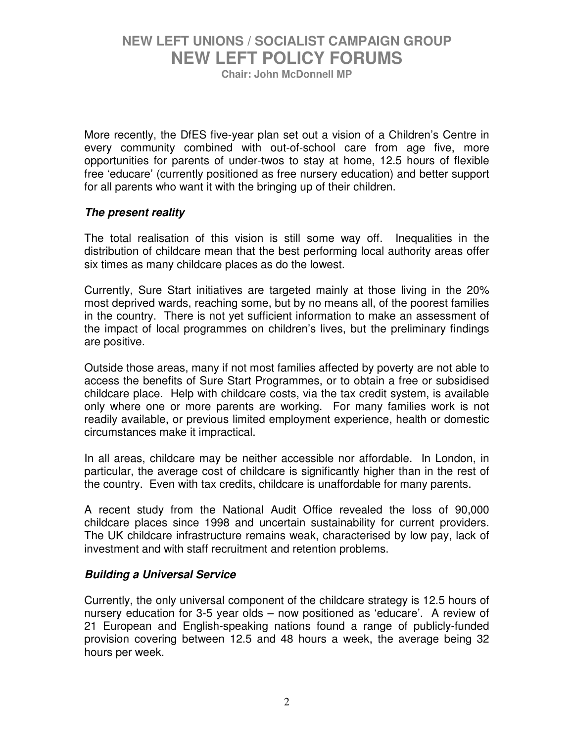**Chair: John McDonnell MP** 

More recently, the DfES five-year plan set out a vision of a Children's Centre in every community combined with out-of-school care from age five, more opportunities for parents of under-twos to stay at home, 12.5 hours of flexible free 'educare' (currently positioned as free nursery education) and better support for all parents who want it with the bringing up of their children.

#### *The present reality*

The total realisation of this vision is still some way off. Inequalities in the distribution of childcare mean that the best performing local authority areas offer six times as many childcare places as do the lowest.

Currently, Sure Start initiatives are targeted mainly at those living in the 20% most deprived wards, reaching some, but by no means all, of the poorest families in the country. There is not yet sufficient information to make an assessment of the impact of local programmes on children's lives, but the preliminary findings are positive.

Outside those areas, many if not most families affected by poverty are not able to access the benefits of Sure Start Programmes, or to obtain a free or subsidised childcare place. Help with childcare costs, via the tax credit system, is available only where one or more parents are working. For many families work is not readily available, or previous limited employment experience, health or domestic circumstances make it impractical.

In all areas, childcare may be neither accessible nor affordable. In London, in particular, the average cost of childcare is significantly higher than in the rest of the country. Even with tax credits, childcare is unaffordable for many parents.

A recent study from the National Audit Office revealed the loss of 90,000 childcare places since 1998 and uncertain sustainability for current providers. The UK childcare infrastructure remains weak, characterised by low pay, lack of investment and with staff recruitment and retention problems.

#### *Building a Universal Service*

Currently, the only universal component of the childcare strategy is 12.5 hours of nursery education for 3-5 year olds – now positioned as 'educare'. A review of 21 European and English-speaking nations found a range of publicly-funded provision covering between 12.5 and 48 hours a week, the average being 32 hours per week.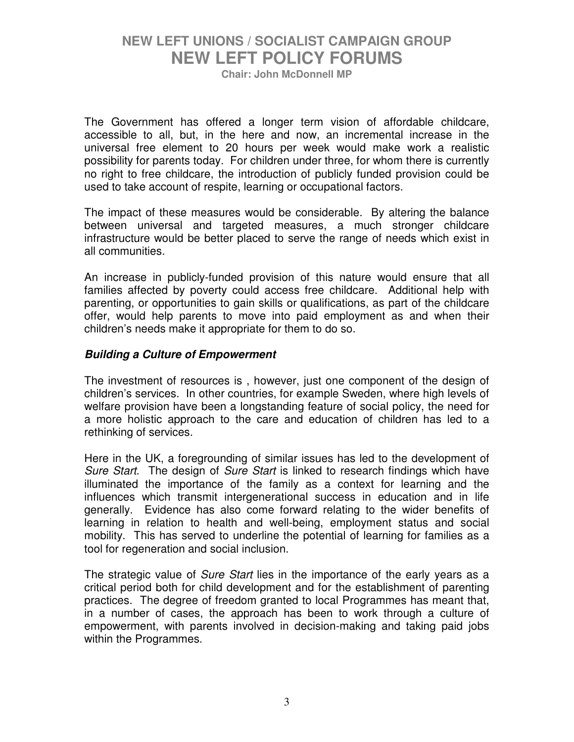**Chair: John McDonnell MP** 

The Government has offered a longer term vision of affordable childcare, accessible to all, but, in the here and now, an incremental increase in the universal free element to 20 hours per week would make work a realistic possibility for parents today. For children under three, for whom there is currently no right to free childcare, the introduction of publicly funded provision could be used to take account of respite, learning or occupational factors.

The impact of these measures would be considerable. By altering the balance between universal and targeted measures, a much stronger childcare infrastructure would be better placed to serve the range of needs which exist in all communities.

An increase in publicly-funded provision of this nature would ensure that all families affected by poverty could access free childcare. Additional help with parenting, or opportunities to gain skills or qualifications, as part of the childcare offer, would help parents to move into paid employment as and when their children's needs make it appropriate for them to do so.

#### *Building a Culture of Empowerment*

The investment of resources is , however, just one component of the design of children's services. In other countries, for example Sweden, where high levels of welfare provision have been a longstanding feature of social policy, the need for a more holistic approach to the care and education of children has led to a rethinking of services.

Here in the UK, a foregrounding of similar issues has led to the development of *Sure Start*. The design of *Sure Start* is linked to research findings which have illuminated the importance of the family as a context for learning and the influences which transmit intergenerational success in education and in life generally. Evidence has also come forward relating to the wider benefits of learning in relation to health and well-being, employment status and social mobility. This has served to underline the potential of learning for families as a tool for regeneration and social inclusion.

The strategic value of *Sure Start* lies in the importance of the early years as a critical period both for child development and for the establishment of parenting practices. The degree of freedom granted to local Programmes has meant that, in a number of cases, the approach has been to work through a culture of empowerment, with parents involved in decision-making and taking paid jobs within the Programmes.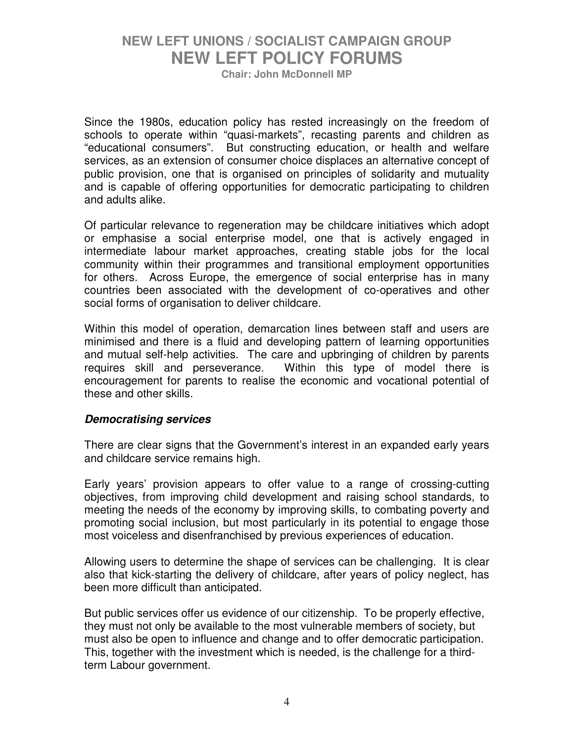**Chair: John McDonnell MP** 

Since the 1980s, education policy has rested increasingly on the freedom of schools to operate within "quasi-markets", recasting parents and children as "educational consumers". But constructing education, or health and welfare services, as an extension of consumer choice displaces an alternative concept of public provision, one that is organised on principles of solidarity and mutuality and is capable of offering opportunities for democratic participating to children and adults alike.

Of particular relevance to regeneration may be childcare initiatives which adopt or emphasise a social enterprise model, one that is actively engaged in intermediate labour market approaches, creating stable jobs for the local community within their programmes and transitional employment opportunities for others. Across Europe, the emergence of social enterprise has in many countries been associated with the development of co-operatives and other social forms of organisation to deliver childcare.

Within this model of operation, demarcation lines between staff and users are minimised and there is a fluid and developing pattern of learning opportunities and mutual self-help activities. The care and upbringing of children by parents requires skill and perseverance. Within this type of model there is encouragement for parents to realise the economic and vocational potential of these and other skills.

#### *Democratising services*

There are clear signs that the Government's interest in an expanded early years and childcare service remains high.

Early years' provision appears to offer value to a range of crossing-cutting objectives, from improving child development and raising school standards, to meeting the needs of the economy by improving skills, to combating poverty and promoting social inclusion, but most particularly in its potential to engage those most voiceless and disenfranchised by previous experiences of education.

Allowing users to determine the shape of services can be challenging. It is clear also that kick-starting the delivery of childcare, after years of policy neglect, has been more difficult than anticipated.

But public services offer us evidence of our citizenship. To be properly effective, they must not only be available to the most vulnerable members of society, but must also be open to influence and change and to offer democratic participation. This, together with the investment which is needed, is the challenge for a thirdterm Labour government.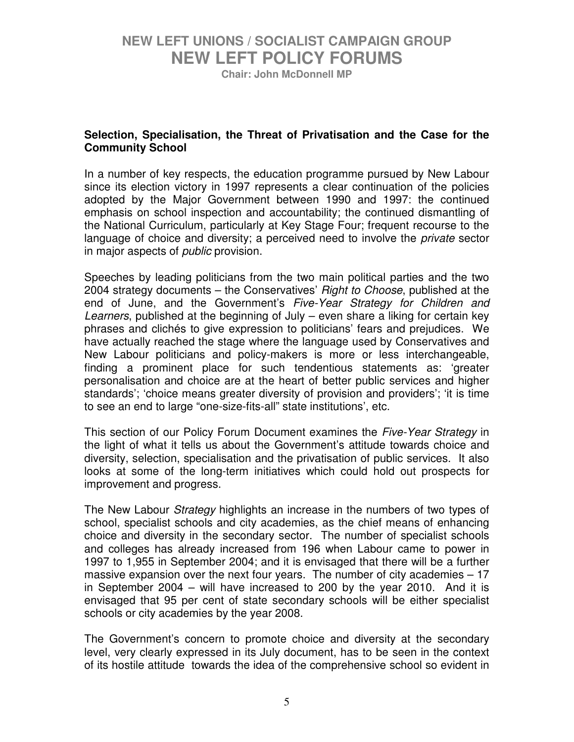**Chair: John McDonnell MP** 

#### **Selection, Specialisation, the Threat of Privatisation and the Case for the Community School**

In a number of key respects, the education programme pursued by New Labour since its election victory in 1997 represents a clear continuation of the policies adopted by the Major Government between 1990 and 1997: the continued emphasis on school inspection and accountability; the continued dismantling of the National Curriculum, particularly at Key Stage Four; frequent recourse to the language of choice and diversity; a perceived need to involve the *private* sector in major aspects of *public* provision.

Speeches by leading politicians from the two main political parties and the two 2004 strategy documents – the Conservatives' *Right to Choose*, published at the end of June, and the Government's *Five-Year Strategy for Children and Learners*, published at the beginning of July – even share a liking for certain key phrases and clichés to give expression to politicians' fears and prejudices. We have actually reached the stage where the language used by Conservatives and New Labour politicians and policy-makers is more or less interchangeable, finding a prominent place for such tendentious statements as: 'greater personalisation and choice are at the heart of better public services and higher standards'; 'choice means greater diversity of provision and providers'; 'it is time to see an end to large "one-size-fits-all" state institutions', etc.

This section of our Policy Forum Document examines the *Five-Year Strategy* in the light of what it tells us about the Government's attitude towards choice and diversity, selection, specialisation and the privatisation of public services. It also looks at some of the long-term initiatives which could hold out prospects for improvement and progress.

The New Labour *Strategy* highlights an increase in the numbers of two types of school, specialist schools and city academies, as the chief means of enhancing choice and diversity in the secondary sector. The number of specialist schools and colleges has already increased from 196 when Labour came to power in 1997 to 1,955 in September 2004; and it is envisaged that there will be a further massive expansion over the next four years. The number of city academies – 17 in September 2004 – will have increased to 200 by the year 2010. And it is envisaged that 95 per cent of state secondary schools will be either specialist schools or city academies by the year 2008.

The Government's concern to promote choice and diversity at the secondary level, very clearly expressed in its July document, has to be seen in the context of its hostile attitude towards the idea of the comprehensive school so evident in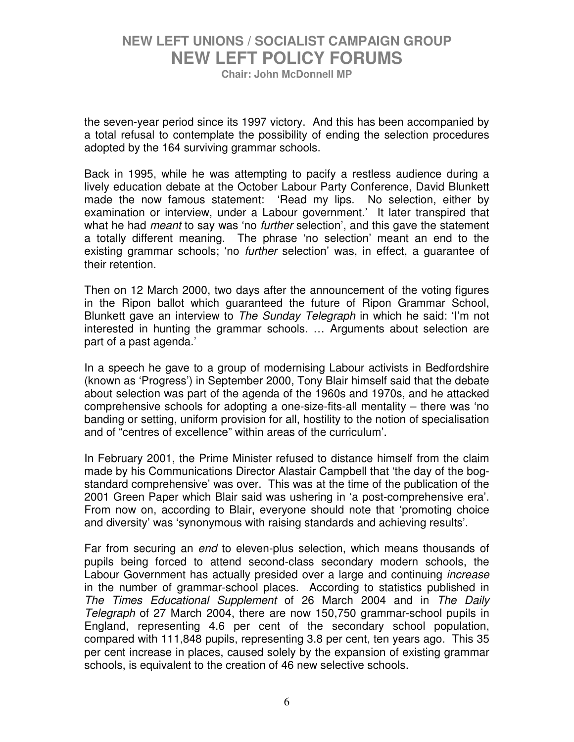**Chair: John McDonnell MP** 

the seven-year period since its 1997 victory. And this has been accompanied by a total refusal to contemplate the possibility of ending the selection procedures adopted by the 164 surviving grammar schools.

Back in 1995, while he was attempting to pacify a restless audience during a lively education debate at the October Labour Party Conference, David Blunkett made the now famous statement: 'Read my lips. No selection, either by examination or interview, under a Labour government.' It later transpired that what he had *meant* to say was 'no *further* selection', and this gave the statement a totally different meaning. The phrase 'no selection' meant an end to the existing grammar schools; 'no *further* selection' was, in effect, a guarantee of their retention.

Then on 12 March 2000, two days after the announcement of the voting figures in the Ripon ballot which guaranteed the future of Ripon Grammar School, Blunkett gave an interview to *The Sunday Telegraph* in which he said: 'I'm not interested in hunting the grammar schools. … Arguments about selection are part of a past agenda.'

In a speech he gave to a group of modernising Labour activists in Bedfordshire (known as 'Progress') in September 2000, Tony Blair himself said that the debate about selection was part of the agenda of the 1960s and 1970s, and he attacked comprehensive schools for adopting a one-size-fits-all mentality – there was 'no banding or setting, uniform provision for all, hostility to the notion of specialisation and of "centres of excellence" within areas of the curriculum'.

In February 2001, the Prime Minister refused to distance himself from the claim made by his Communications Director Alastair Campbell that 'the day of the bogstandard comprehensive' was over. This was at the time of the publication of the 2001 Green Paper which Blair said was ushering in 'a post-comprehensive era'. From now on, according to Blair, everyone should note that 'promoting choice and diversity' was 'synonymous with raising standards and achieving results'.

Far from securing an *end* to eleven-plus selection, which means thousands of pupils being forced to attend second-class secondary modern schools, the Labour Government has actually presided over a large and continuing *increase* in the number of grammar-school places. According to statistics published in *The Times Educational Supplement* of 26 March 2004 and in *The Daily Telegraph* of 27 March 2004, there are now 150,750 grammar-school pupils in England, representing 4.6 per cent of the secondary school population, compared with 111,848 pupils, representing 3.8 per cent, ten years ago. This 35 per cent increase in places, caused solely by the expansion of existing grammar schools, is equivalent to the creation of 46 new selective schools.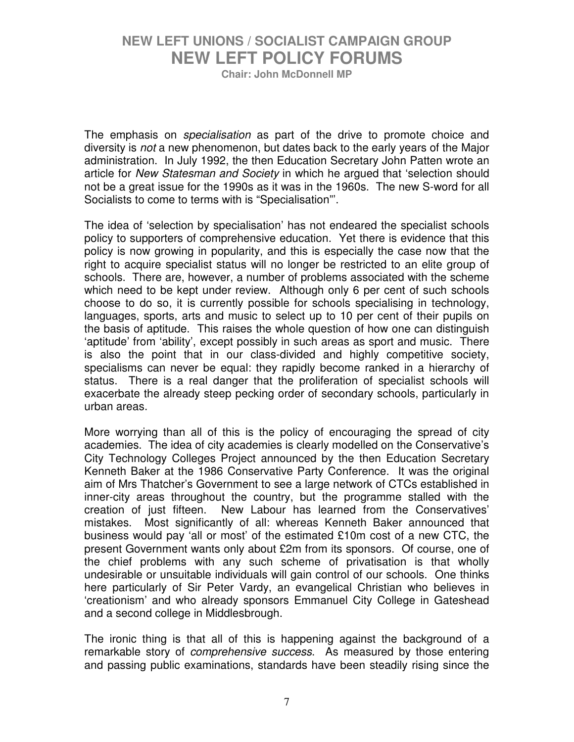**Chair: John McDonnell MP** 

The emphasis on *specialisation* as part of the drive to promote choice and diversity is *not* a new phenomenon, but dates back to the early years of the Major administration. In July 1992, the then Education Secretary John Patten wrote an article for *New Statesman and Society* in which he argued that 'selection should not be a great issue for the 1990s as it was in the 1960s. The new S-word for all Socialists to come to terms with is "Specialisation"'.

The idea of 'selection by specialisation' has not endeared the specialist schools policy to supporters of comprehensive education. Yet there is evidence that this policy is now growing in popularity, and this is especially the case now that the right to acquire specialist status will no longer be restricted to an elite group of schools. There are, however, a number of problems associated with the scheme which need to be kept under review. Although only 6 per cent of such schools choose to do so, it is currently possible for schools specialising in technology, languages, sports, arts and music to select up to 10 per cent of their pupils on the basis of aptitude. This raises the whole question of how one can distinguish 'aptitude' from 'ability', except possibly in such areas as sport and music. There is also the point that in our class-divided and highly competitive society, specialisms can never be equal: they rapidly become ranked in a hierarchy of status. There is a real danger that the proliferation of specialist schools will exacerbate the already steep pecking order of secondary schools, particularly in urban areas.

More worrying than all of this is the policy of encouraging the spread of city academies. The idea of city academies is clearly modelled on the Conservative's City Technology Colleges Project announced by the then Education Secretary Kenneth Baker at the 1986 Conservative Party Conference. It was the original aim of Mrs Thatcher's Government to see a large network of CTCs established in inner-city areas throughout the country, but the programme stalled with the creation of just fifteen. New Labour has learned from the Conservatives' mistakes. Most significantly of all: whereas Kenneth Baker announced that business would pay 'all or most' of the estimated £10m cost of a new CTC, the present Government wants only about £2m from its sponsors. Of course, one of the chief problems with any such scheme of privatisation is that wholly undesirable or unsuitable individuals will gain control of our schools. One thinks here particularly of Sir Peter Vardy, an evangelical Christian who believes in 'creationism' and who already sponsors Emmanuel City College in Gateshead and a second college in Middlesbrough.

The ironic thing is that all of this is happening against the background of a remarkable story of *comprehensive success*. As measured by those entering and passing public examinations, standards have been steadily rising since the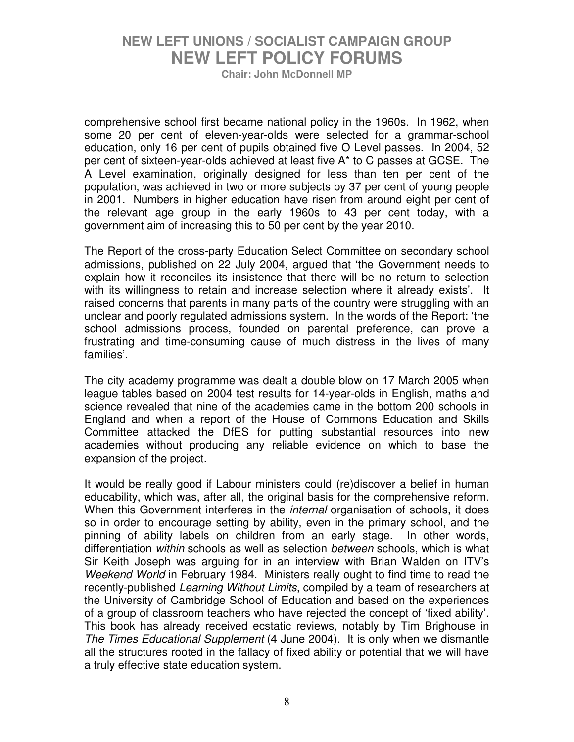**Chair: John McDonnell MP** 

comprehensive school first became national policy in the 1960s. In 1962, when some 20 per cent of eleven-year-olds were selected for a grammar-school education, only 16 per cent of pupils obtained five O Level passes. In 2004, 52 per cent of sixteen-year-olds achieved at least five A\* to C passes at GCSE. The A Level examination, originally designed for less than ten per cent of the population, was achieved in two or more subjects by 37 per cent of young people in 2001. Numbers in higher education have risen from around eight per cent of the relevant age group in the early 1960s to 43 per cent today, with a government aim of increasing this to 50 per cent by the year 2010.

The Report of the cross-party Education Select Committee on secondary school admissions, published on 22 July 2004, argued that 'the Government needs to explain how it reconciles its insistence that there will be no return to selection with its willingness to retain and increase selection where it already exists'. It raised concerns that parents in many parts of the country were struggling with an unclear and poorly regulated admissions system. In the words of the Report: 'the school admissions process, founded on parental preference, can prove a frustrating and time-consuming cause of much distress in the lives of many families'.

The city academy programme was dealt a double blow on 17 March 2005 when league tables based on 2004 test results for 14-year-olds in English, maths and science revealed that nine of the academies came in the bottom 200 schools in England and when a report of the House of Commons Education and Skills Committee attacked the DfES for putting substantial resources into new academies without producing any reliable evidence on which to base the expansion of the project.

It would be really good if Labour ministers could (re)discover a belief in human educability, which was, after all, the original basis for the comprehensive reform. When this Government interferes in the *internal* organisation of schools, it does so in order to encourage setting by ability, even in the primary school, and the pinning of ability labels on children from an early stage. In other words, differentiation *within* schools as well as selection *between* schools, which is what Sir Keith Joseph was arguing for in an interview with Brian Walden on ITV's *Weekend World* in February 1984. Ministers really ought to find time to read the recently-published *Learning Without Limits*, compiled by a team of researchers at the University of Cambridge School of Education and based on the experiences of a group of classroom teachers who have rejected the concept of 'fixed ability'. This book has already received ecstatic reviews, notably by Tim Brighouse in *The Times Educational Supplement* (4 June 2004). It is only when we dismantle all the structures rooted in the fallacy of fixed ability or potential that we will have a truly effective state education system.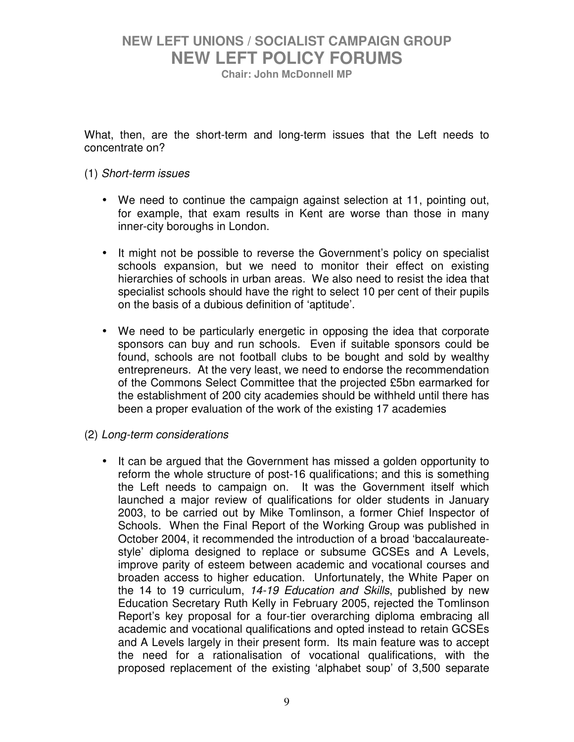**Chair: John McDonnell MP** 

What, then, are the short-term and long-term issues that the Left needs to concentrate on?

#### (1) *Short-term issues*

- We need to continue the campaign against selection at 11, pointing out, for example, that exam results in Kent are worse than those in many inner-city boroughs in London.
- It might not be possible to reverse the Government's policy on specialist schools expansion, but we need to monitor their effect on existing hierarchies of schools in urban areas. We also need to resist the idea that specialist schools should have the right to select 10 per cent of their pupils on the basis of a dubious definition of 'aptitude'.
- We need to be particularly energetic in opposing the idea that corporate sponsors can buy and run schools. Even if suitable sponsors could be found, schools are not football clubs to be bought and sold by wealthy entrepreneurs. At the very least, we need to endorse the recommendation of the Commons Select Committee that the projected £5bn earmarked for the establishment of 200 city academies should be withheld until there has been a proper evaluation of the work of the existing 17 academies

#### (2) *Long-term considerations*

• It can be argued that the Government has missed a golden opportunity to reform the whole structure of post-16 qualifications; and this is something the Left needs to campaign on. It was the Government itself which launched a major review of qualifications for older students in January 2003, to be carried out by Mike Tomlinson, a former Chief Inspector of Schools. When the Final Report of the Working Group was published in October 2004, it recommended the introduction of a broad 'baccalaureatestyle' diploma designed to replace or subsume GCSEs and A Levels, improve parity of esteem between academic and vocational courses and broaden access to higher education. Unfortunately, the White Paper on the 14 to 19 curriculum, *14-19 Education and Skills*, published by new Education Secretary Ruth Kelly in February 2005, rejected the Tomlinson Report's key proposal for a four-tier overarching diploma embracing all academic and vocational qualifications and opted instead to retain GCSEs and A Levels largely in their present form. Its main feature was to accept the need for a rationalisation of vocational qualifications, with the proposed replacement of the existing 'alphabet soup' of 3,500 separate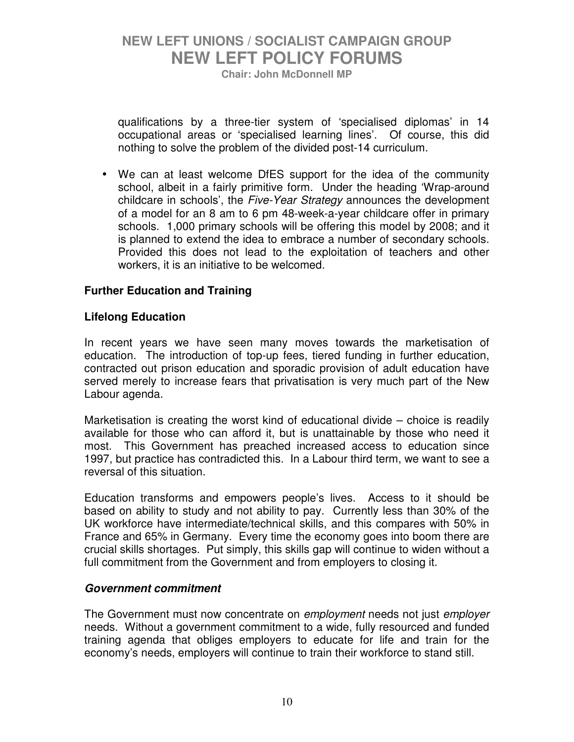**Chair: John McDonnell MP** 

qualifications by a three-tier system of 'specialised diplomas' in 14 occupational areas or 'specialised learning lines'. Of course, this did nothing to solve the problem of the divided post-14 curriculum.

• We can at least welcome DfES support for the idea of the community school, albeit in a fairly primitive form. Under the heading 'Wrap-around childcare in schools', the *Five-Year Strategy* announces the development of a model for an 8 am to 6 pm 48-week-a-year childcare offer in primary schools. 1,000 primary schools will be offering this model by 2008; and it is planned to extend the idea to embrace a number of secondary schools. Provided this does not lead to the exploitation of teachers and other workers, it is an initiative to be welcomed.

#### **Further Education and Training**

#### **Lifelong Education**

In recent years we have seen many moves towards the marketisation of education. The introduction of top-up fees, tiered funding in further education, contracted out prison education and sporadic provision of adult education have served merely to increase fears that privatisation is very much part of the New Labour agenda.

Marketisation is creating the worst kind of educational divide – choice is readily available for those who can afford it, but is unattainable by those who need it most. This Government has preached increased access to education since 1997, but practice has contradicted this. In a Labour third term, we want to see a reversal of this situation.

Education transforms and empowers people's lives. Access to it should be based on ability to study and not ability to pay. Currently less than 30% of the UK workforce have intermediate/technical skills, and this compares with 50% in France and 65% in Germany. Every time the economy goes into boom there are crucial skills shortages. Put simply, this skills gap will continue to widen without a full commitment from the Government and from employers to closing it.

#### *Government commitment*

The Government must now concentrate on *employment* needs not just *employer*  needs. Without a government commitment to a wide, fully resourced and funded training agenda that obliges employers to educate for life and train for the economy's needs, employers will continue to train their workforce to stand still.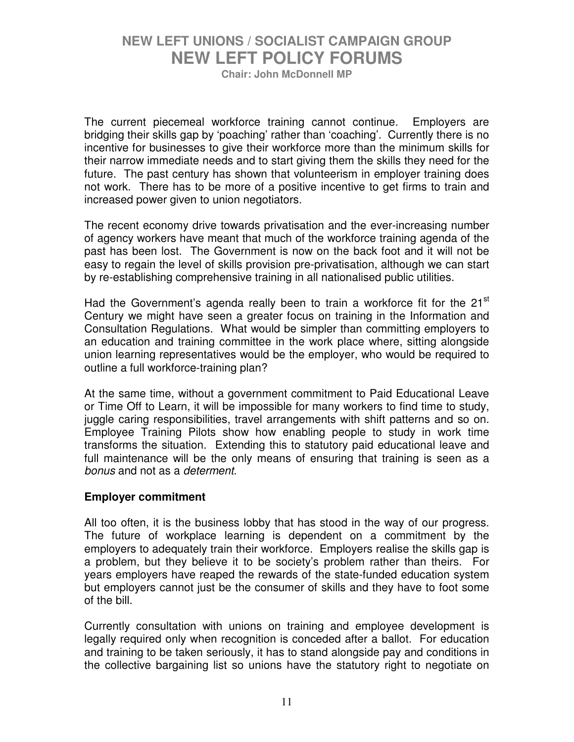**Chair: John McDonnell MP** 

The current piecemeal workforce training cannot continue. Employers are bridging their skills gap by 'poaching' rather than 'coaching'. Currently there is no incentive for businesses to give their workforce more than the minimum skills for their narrow immediate needs and to start giving them the skills they need for the future. The past century has shown that volunteerism in employer training does not work. There has to be more of a positive incentive to get firms to train and increased power given to union negotiators.

The recent economy drive towards privatisation and the ever-increasing number of agency workers have meant that much of the workforce training agenda of the past has been lost. The Government is now on the back foot and it will not be easy to regain the level of skills provision pre-privatisation, although we can start by re-establishing comprehensive training in all nationalised public utilities.

Had the Government's agenda really been to train a workforce fit for the  $21<sup>st</sup>$ Century we might have seen a greater focus on training in the Information and Consultation Regulations. What would be simpler than committing employers to an education and training committee in the work place where, sitting alongside union learning representatives would be the employer, who would be required to outline a full workforce-training plan?

At the same time, without a government commitment to Paid Educational Leave or Time Off to Learn, it will be impossible for many workers to find time to study, juggle caring responsibilities, travel arrangements with shift patterns and so on. Employee Training Pilots show how enabling people to study in work time transforms the situation. Extending this to statutory paid educational leave and full maintenance will be the only means of ensuring that training is seen as a *bonus* and not as a *determent*.

#### **Employer commitment**

All too often, it is the business lobby that has stood in the way of our progress. The future of workplace learning is dependent on a commitment by the employers to adequately train their workforce. Employers realise the skills gap is a problem, but they believe it to be society's problem rather than theirs. For years employers have reaped the rewards of the state-funded education system but employers cannot just be the consumer of skills and they have to foot some of the bill.

Currently consultation with unions on training and employee development is legally required only when recognition is conceded after a ballot. For education and training to be taken seriously, it has to stand alongside pay and conditions in the collective bargaining list so unions have the statutory right to negotiate on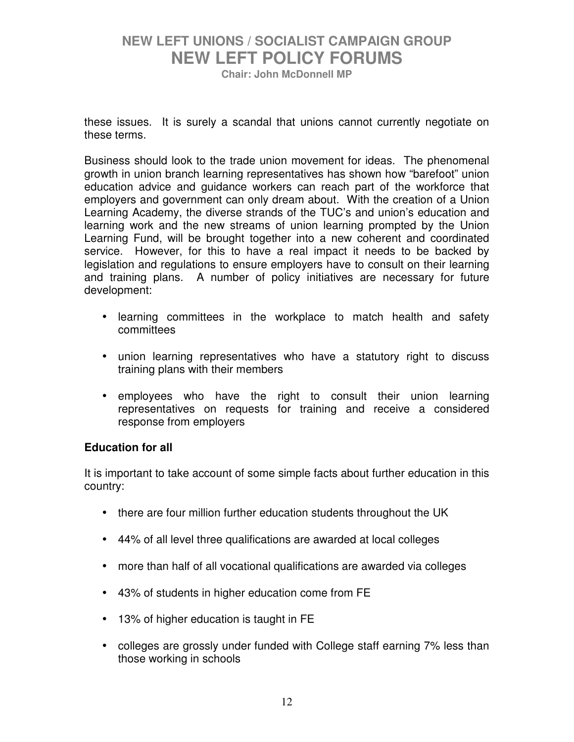**Chair: John McDonnell MP** 

these issues. It is surely a scandal that unions cannot currently negotiate on these terms.

Business should look to the trade union movement for ideas. The phenomenal growth in union branch learning representatives has shown how "barefoot" union education advice and guidance workers can reach part of the workforce that employers and government can only dream about. With the creation of a Union Learning Academy, the diverse strands of the TUC's and union's education and learning work and the new streams of union learning prompted by the Union Learning Fund, will be brought together into a new coherent and coordinated service. However, for this to have a real impact it needs to be backed by legislation and regulations to ensure employers have to consult on their learning and training plans. A number of policy initiatives are necessary for future development:

- learning committees in the workplace to match health and safety committees
- union learning representatives who have a statutory right to discuss training plans with their members
- employees who have the right to consult their union learning representatives on requests for training and receive a considered response from employers

#### **Education for all**

It is important to take account of some simple facts about further education in this country:

- there are four million further education students throughout the UK
- 44% of all level three qualifications are awarded at local colleges
- more than half of all vocational qualifications are awarded via colleges
- 43% of students in higher education come from FE
- 13% of higher education is taught in FE
- colleges are grossly under funded with College staff earning 7% less than those working in schools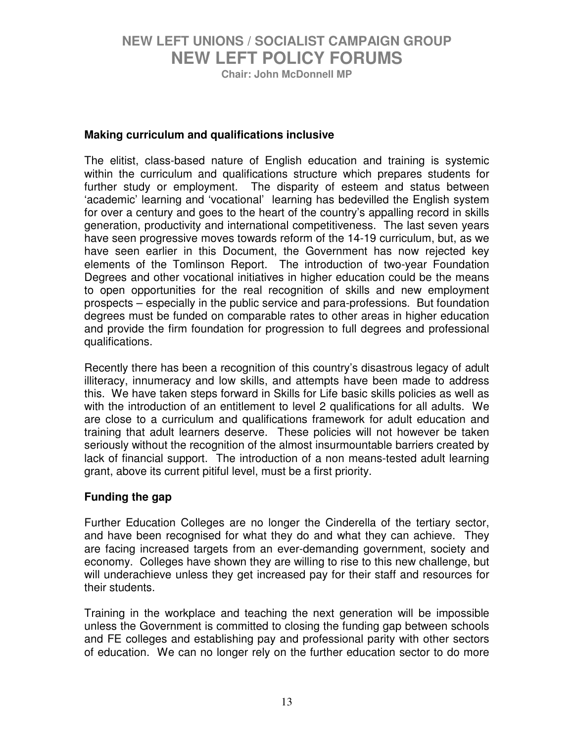**Chair: John McDonnell MP** 

#### **Making curriculum and qualifications inclusive**

The elitist, class-based nature of English education and training is systemic within the curriculum and qualifications structure which prepares students for further study or employment. The disparity of esteem and status between 'academic' learning and 'vocational' learning has bedevilled the English system for over a century and goes to the heart of the country's appalling record in skills generation, productivity and international competitiveness. The last seven years have seen progressive moves towards reform of the 14-19 curriculum, but, as we have seen earlier in this Document, the Government has now rejected key elements of the Tomlinson Report. The introduction of two-year Foundation Degrees and other vocational initiatives in higher education could be the means to open opportunities for the real recognition of skills and new employment prospects – especially in the public service and para-professions. But foundation degrees must be funded on comparable rates to other areas in higher education and provide the firm foundation for progression to full degrees and professional qualifications.

Recently there has been a recognition of this country's disastrous legacy of adult illiteracy, innumeracy and low skills, and attempts have been made to address this. We have taken steps forward in Skills for Life basic skills policies as well as with the introduction of an entitlement to level 2 qualifications for all adults. We are close to a curriculum and qualifications framework for adult education and training that adult learners deserve. These policies will not however be taken seriously without the recognition of the almost insurmountable barriers created by lack of financial support. The introduction of a non means-tested adult learning grant, above its current pitiful level, must be a first priority.

#### **Funding the gap**

Further Education Colleges are no longer the Cinderella of the tertiary sector, and have been recognised for what they do and what they can achieve. They are facing increased targets from an ever-demanding government, society and economy. Colleges have shown they are willing to rise to this new challenge, but will underachieve unless they get increased pay for their staff and resources for their students.

Training in the workplace and teaching the next generation will be impossible unless the Government is committed to closing the funding gap between schools and FE colleges and establishing pay and professional parity with other sectors of education. We can no longer rely on the further education sector to do more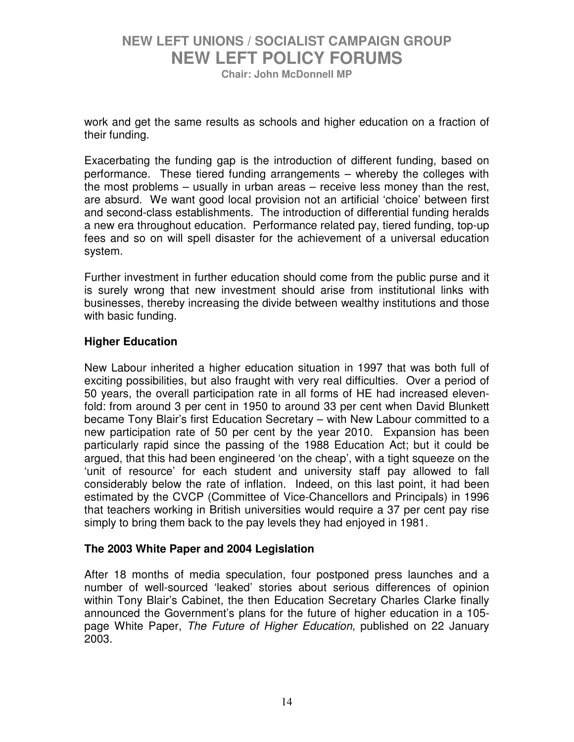**Chair: John McDonnell MP** 

work and get the same results as schools and higher education on a fraction of their funding.

Exacerbating the funding gap is the introduction of different funding, based on performance. These tiered funding arrangements – whereby the colleges with the most problems – usually in urban areas – receive less money than the rest, are absurd. We want good local provision not an artificial 'choice' between first and second-class establishments. The introduction of differential funding heralds a new era throughout education. Performance related pay, tiered funding, top-up fees and so on will spell disaster for the achievement of a universal education system.

Further investment in further education should come from the public purse and it is surely wrong that new investment should arise from institutional links with businesses, thereby increasing the divide between wealthy institutions and those with basic funding.

#### **Higher Education**

New Labour inherited a higher education situation in 1997 that was both full of exciting possibilities, but also fraught with very real difficulties. Over a period of 50 years, the overall participation rate in all forms of HE had increased elevenfold: from around 3 per cent in 1950 to around 33 per cent when David Blunkett became Tony Blair's first Education Secretary – with New Labour committed to a new participation rate of 50 per cent by the year 2010. Expansion has been particularly rapid since the passing of the 1988 Education Act; but it could be argued, that this had been engineered 'on the cheap', with a tight squeeze on the 'unit of resource' for each student and university staff pay allowed to fall considerably below the rate of inflation. Indeed, on this last point, it had been estimated by the CVCP (Committee of Vice-Chancellors and Principals) in 1996 that teachers working in British universities would require a 37 per cent pay rise simply to bring them back to the pay levels they had enjoyed in 1981.

#### **The 2003 White Paper and 2004 Legislation**

After 18 months of media speculation, four postponed press launches and a number of well-sourced 'leaked' stories about serious differences of opinion within Tony Blair's Cabinet, the then Education Secretary Charles Clarke finally announced the Government's plans for the future of higher education in a 105 page White Paper, *The Future of Higher Education*, published on 22 January 2003.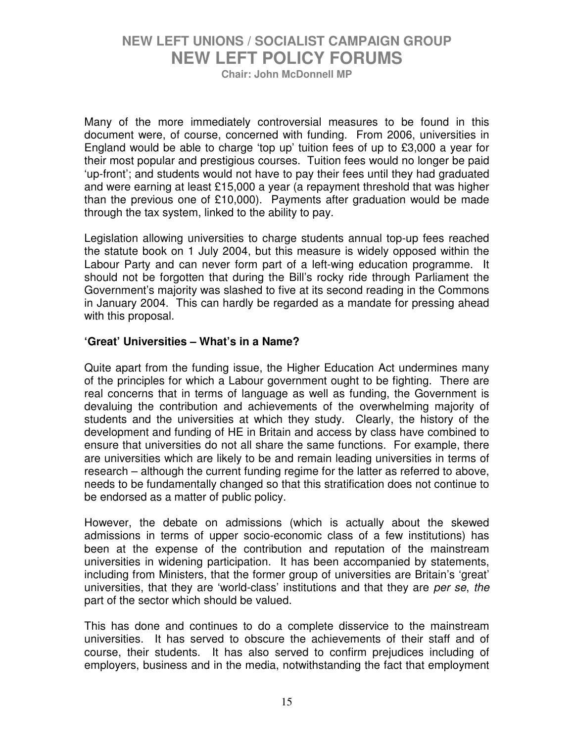**Chair: John McDonnell MP** 

Many of the more immediately controversial measures to be found in this document were, of course, concerned with funding. From 2006, universities in England would be able to charge 'top up' tuition fees of up to £3,000 a year for their most popular and prestigious courses. Tuition fees would no longer be paid 'up-front'; and students would not have to pay their fees until they had graduated and were earning at least £15,000 a year (a repayment threshold that was higher than the previous one of £10,000). Payments after graduation would be made through the tax system, linked to the ability to pay.

Legislation allowing universities to charge students annual top-up fees reached the statute book on 1 July 2004, but this measure is widely opposed within the Labour Party and can never form part of a left-wing education programme. It should not be forgotten that during the Bill's rocky ride through Parliament the Government's majority was slashed to five at its second reading in the Commons in January 2004. This can hardly be regarded as a mandate for pressing ahead with this proposal.

#### **'Great' Universities – What's in a Name?**

Quite apart from the funding issue, the Higher Education Act undermines many of the principles for which a Labour government ought to be fighting. There are real concerns that in terms of language as well as funding, the Government is devaluing the contribution and achievements of the overwhelming majority of students and the universities at which they study. Clearly, the history of the development and funding of HE in Britain and access by class have combined to ensure that universities do not all share the same functions. For example, there are universities which are likely to be and remain leading universities in terms of research – although the current funding regime for the latter as referred to above, needs to be fundamentally changed so that this stratification does not continue to be endorsed as a matter of public policy.

However, the debate on admissions (which is actually about the skewed admissions in terms of upper socio-economic class of a few institutions) has been at the expense of the contribution and reputation of the mainstream universities in widening participation. It has been accompanied by statements, including from Ministers, that the former group of universities are Britain's 'great' universities, that they are 'world-class' institutions and that they are *per se*, *the* part of the sector which should be valued.

This has done and continues to do a complete disservice to the mainstream universities. It has served to obscure the achievements of their staff and of course, their students. It has also served to confirm prejudices including of employers, business and in the media, notwithstanding the fact that employment